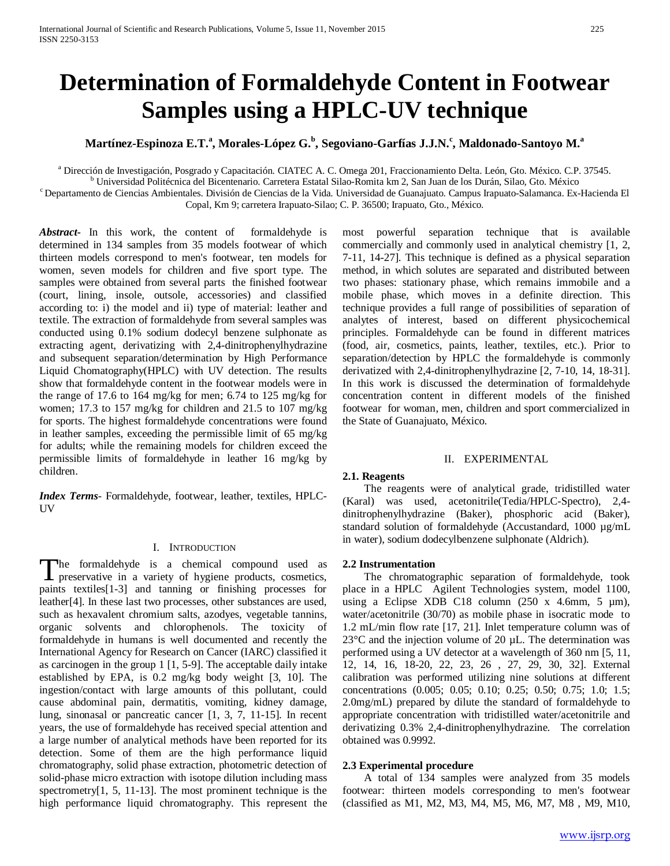# **Determination of Formaldehyde Content in Footwear Samples using a HPLC-UV technique**

## **Martínez-Espinoza E.T.<sup>a</sup> , Morales-López G.<sup>b</sup> , Segoviano-Garfías J.J.N.<sup>c</sup> , Maldonado-Santoyo M.<sup>a</sup>**

a Dirección de Investigación, Posgrado y Capacitación. CIATEC A. C. Omega 201, Fraccionamiento Delta. León, Gto. México. C.P. 37545.<br><sup>b</sup> Universidad Politécnica del Bicentenario. Carretera Estatal Silao-Romita km 2, San Ju Copal, Km 9; carretera Irapuato-Silao; C. P. 36500; Irapuato, Gto., México.

*Abstract***-** In this work, the content of formaldehyde is determined in 134 samples from 35 models footwear of which thirteen models correspond to men's footwear, ten models for women, seven models for children and five sport type. The samples were obtained from several parts the finished footwear (court, lining, insole, outsole, accessories) and classified according to: i) the model and ii) type of material: leather and textile. The extraction of formaldehyde from several samples was conducted using 0.1% sodium dodecyl benzene sulphonate as extracting agent, derivatizing with 2,4-dinitrophenylhydrazine and subsequent separation/determination by High Performance Liquid Chomatography(HPLC) with UV detection. The results show that formaldehyde content in the footwear models were in the range of 17.6 to 164 mg/kg for men; 6.74 to 125 mg/kg for women; 17.3 to 157 mg/kg for children and 21.5 to 107 mg/kg for sports. The highest formaldehyde concentrations were found in leather samples, exceeding the permissible limit of 65 mg/kg for adults; while the remaining models for children exceed the permissible limits of formaldehyde in leather 16 mg/kg by children.

*Index Terms*- Formaldehyde, footwear, leather, textiles, HPLC-**I**<sub>V</sub>

#### I. INTRODUCTION

he formaldehyde is a chemical compound used as The formaldehyde is a chemical compound used as preservative in a variety of hygiene products, cosmetics, paints textiles[1-3] and tanning or finishing processes for leather[4]. In these last two processes, other substances are used, such as hexavalent chromium salts, azodyes, vegetable tannins, organic solvents and chlorophenols. The toxicity of formaldehyde in humans is well documented and recently the International Agency for Research on Cancer (IARC) classified it as carcinogen in the group 1 [1, 5-9]. The acceptable daily intake established by EPA, is 0.2 mg/kg body weight [3, 10]. The ingestion/contact with large amounts of this pollutant, could cause abdominal pain, dermatitis, vomiting, kidney damage, lung, sinonasal or pancreatic cancer [1, 3, 7, 11-15]. In recent years, the use of formaldehyde has received special attention and a large number of analytical methods have been reported for its detection. Some of them are the high performance liquid chromatography, solid phase extraction, photometric detection of solid-phase micro extraction with isotope dilution including mass spectrometry[1, 5, 11-13]. The most prominent technique is the high performance liquid chromatography. This represent the

most powerful separation technique that is available commercially and commonly used in analytical chemistry [1, 2, 7-11, 14-27]. This technique is defined as a physical separation method, in which solutes are separated and distributed between two phases: stationary phase, which remains immobile and a mobile phase, which moves in a definite direction. This technique provides a full range of possibilities of separation of analytes of interest, based on different physicochemical principles. Formaldehyde can be found in different matrices (food, air, cosmetics, paints, leather, textiles, etc.). Prior to separation/detection by HPLC the formaldehyde is commonly derivatized with 2,4-dinitrophenylhydrazine [2, 7-10, 14, 18-31]. In this work is discussed the determination of formaldehyde concentration content in different models of the finished footwear for woman, men, children and sport commercialized in the State of Guanajuato, México.

#### II. EXPERIMENTAL

#### **2.1. Reagents**

 The reagents were of analytical grade, tridistilled water (Karal) was used, acetonitrile(Tedia/HPLC-Spectro), 2,4 dinitrophenylhydrazine (Baker), phosphoric acid (Baker), standard solution of formaldehyde (Accustandard, 1000 µg/mL in water), sodium dodecylbenzene sulphonate (Aldrich).

#### **2.2 Instrumentation**

 The chromatographic separation of formaldehyde, took place in a HPLC Agilent Technologies system, model 1100, using a Eclipse XDB C18 column  $(250 \times 4.6 \text{mm}, 5 \text{µm})$ , water/acetonitrile (30/70) as mobile phase in isocratic mode to 1.2 mL/min flow rate [17, 21]. Inlet temperature column was of  $23^{\circ}$ C and the injection volume of 20  $\mu$ L. The determination was performed using a UV detector at a wavelength of 360 nm [5, 11, 12, 14, 16, 18-20, 22, 23, 26 , 27, 29, 30, 32]. External calibration was performed utilizing nine solutions at different concentrations (0.005; 0.05; 0.10; 0.25; 0.50; 0.75; 1.0; 1.5; 2.0mg/mL) prepared by dilute the standard of formaldehyde to appropriate concentration with tridistilled water/acetonitrile and derivatizing 0.3% 2,4-dinitrophenylhydrazine. The correlation obtained was 0.9992.

#### **2.3 Experimental procedure**

 A total of 134 samples were analyzed from 35 models footwear: thirteen models corresponding to men's footwear (classified as M1, M2, M3, M4, M5, M6, M7, M8 , M9, M10,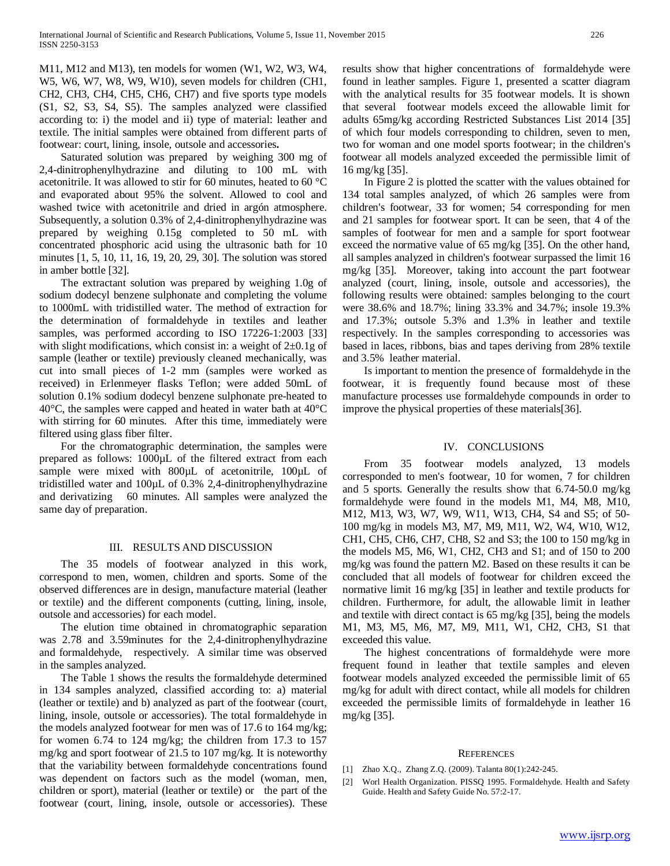M11, M12 and M13), ten models for women (W1, W2, W3, W4, W5, W6, W7, W8, W9, W10), seven models for children (CH1, CH2, CH3, CH4, CH5, CH6, CH7) and five sports type models (S1, S2, S3, S4, S5). The samples analyzed were classified according to: i) the model and ii) type of material: leather and textile. The initial samples were obtained from different parts of footwear: court, lining, insole, outsole and accessories**.**

 Saturated solution was prepared by weighing 300 mg of 2,4-dinitrophenylhydrazine and diluting to 100 mL with acetonitrile. It was allowed to stir for 60 minutes, heated to 60 °C and evaporated about 95% the solvent. Allowed to cool and washed twice with acetonitrile and dried in argón atmosphere. Subsequently, a solution 0.3% of 2,4-dinitrophenylhydrazine was prepared by weighing 0.15g completed to 50 mL with concentrated phosphoric acid using the ultrasonic bath for 10 minutes [1, 5, 10, 11, 16, 19, 20, 29, 30]. The solution was stored in amber bottle [32].

 The extractant solution was prepared by weighing 1.0g of sodium dodecyl benzene sulphonate and completing the volume to 1000mL with tridistilled water. The method of extraction for the determination of formaldehyde in textiles and leather samples, was performed according to ISO 17226-1:2003 [33] with slight modifications, which consist in: a weight of 2*±*0.1g of sample (leather or textile) previously cleaned mechanically, was cut into small pieces of 1-2 mm (samples were worked as received) in Erlenmeyer flasks Teflon; were added 50mL of solution 0.1% sodium dodecyl benzene sulphonate pre-heated to 40°C, the samples were capped and heated in water bath at 40°C with stirring for 60 minutes. After this time, immediately were filtered using glass fiber filter.

 For the chromatographic determination, the samples were prepared as follows: 1000µL of the filtered extract from each sample were mixed with 800 $\mu$ L of acetonitrile, 100 $\mu$ L of tridistilled water and 100µL of 0.3% 2,4-dinitrophenylhydrazine and derivatizing 60 minutes. All samples were analyzed the same day of preparation.

#### III. RESULTS AND DISCUSSION

 The 35 models of footwear analyzed in this work, correspond to men, women, children and sports. Some of the observed differences are in design, manufacture material (leather or textile) and the different components (cutting, lining, insole, outsole and accessories) for each model.

 The elution time obtained in chromatographic separation was 2.78 and 3.59minutes for the 2,4-dinitrophenylhydrazine and formaldehyde, respectively. A similar time was observed in the samples analyzed.

 The Table 1 shows the results the formaldehyde determined in 134 samples analyzed, classified according to: a) material (leather or textile) and b) analyzed as part of the footwear (court, lining, insole, outsole or accessories). The total formaldehyde in the models analyzed footwear for men was of 17.6 to 164 mg/kg; for women 6.74 to 124 mg/kg; the children from 17.3 to 157 mg/kg and sport footwear of 21.5 to 107 mg/kg. It is noteworthy that the variability between formaldehyde concentrations found was dependent on factors such as the model (woman, men, children or sport), material (leather or textile) or the part of the footwear (court, lining, insole, outsole or accessories). These

results show that higher concentrations of formaldehyde were found in leather samples. Figure 1, presented a scatter diagram with the analytical results for 35 footwear models. It is shown that several footwear models exceed the allowable limit for adults 65mg/kg according Restricted Substances List 2014 [35] of which four models corresponding to children, seven to men, two for woman and one model sports footwear; in the children's footwear all models analyzed exceeded the permissible limit of 16 mg/kg [35].

 In Figure 2 is plotted the scatter with the values obtained for 134 total samples analyzed, of which 26 samples were from children's footwear, 33 for women; 54 corresponding for men and 21 samples for footwear sport. It can be seen, that 4 of the samples of footwear for men and a sample for sport footwear exceed the normative value of 65 mg/kg [35]. On the other hand, all samples analyzed in children's footwear surpassed the limit 16 mg/kg [35]. Moreover, taking into account the part footwear analyzed (court, lining, insole, outsole and accessories), the following results were obtained: samples belonging to the court were 38.6% and 18.7%; lining 33.3% and 34.7%; insole 19.3% and 17.3%; outsole 5.3% and 1.3% in leather and textile respectively. In the samples corresponding to accessories was based in laces, ribbons, bias and tapes deriving from 28% textile and 3.5% leather material.

 Is important to mention the presence of formaldehyde in the footwear, it is frequently found because most of these manufacture processes use formaldehyde compounds in order to improve the physical properties of these materials[36].

#### IV. CONCLUSIONS

 From 35 footwear models analyzed, 13 models corresponded to men's footwear, 10 for women, 7 for children and 5 sports. Generally the results show that 6.74-50.0 mg/kg formaldehyde were found in the models M1, M4, M8, M10, M12, M13, W3, W7, W9, W11, W13, CH4, S4 and S5; of 50- 100 mg/kg in models M3, M7, M9, M11, W2, W4, W10, W12, CH1, CH5, CH6, CH7, CH8, S2 and S3; the 100 to 150 mg/kg in the models M5, M6, W1, CH2, CH3 and S1; and of 150 to 200 mg/kg was found the pattern M2. Based on these results it can be concluded that all models of footwear for children exceed the normative limit 16 mg/kg [35] in leather and textile products for children. Furthermore, for adult, the allowable limit in leather and textile with direct contact is 65 mg/kg [35], being the models M1, M3, M5, M6, M7, M9, M11, W1, CH2, CH3, S1 that exceeded this value.

 The highest concentrations of formaldehyde were more frequent found in leather that textile samples and eleven footwear models analyzed exceeded the permissible limit of 65 mg/kg for adult with direct contact, while all models for children exceeded the permissible limits of formaldehyde in leather 16 mg/kg [35].

#### **REFERENCES**

- [1] Zhao X.Q., Zhang Z.Q. (2009). Talanta 80(1):242-245.
- [2] Worl Health Organization. PISSQ 1995. Formaldehyde. Health and Safety Guide. Health and Safety Guide No. 57:2-17.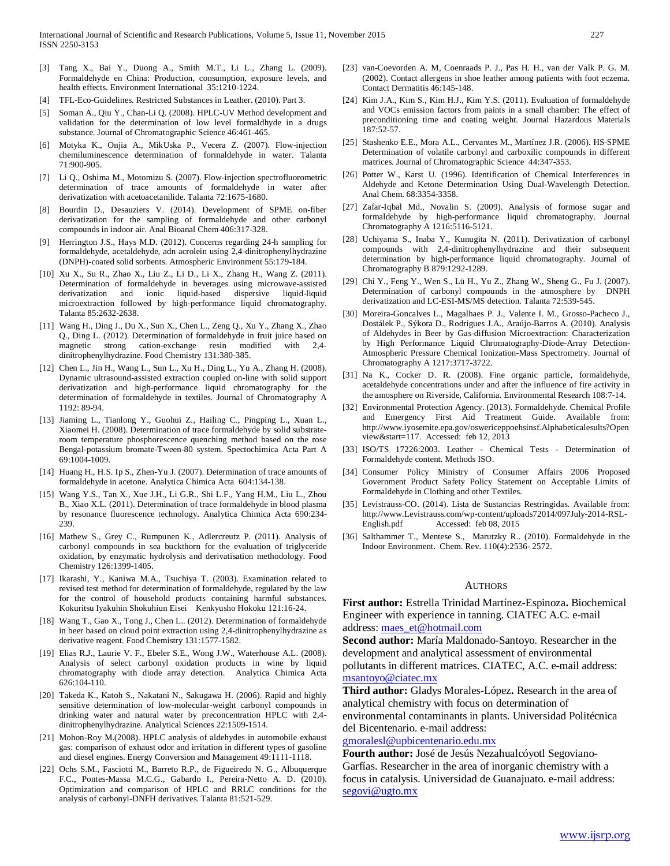- [3] Tang X., Bai Y., Duong A., Smith M.T., Li L., Zhang L. (2009). Formaldehyde en China: Production, consumption, exposure levels, and health effects. Environment International 35:1210-1224.
- [4] TFL-Eco-Guidelines. Restricted Substances in Leather. (2010). Part 3.
- [5] Soman A., Qiu Y., Chan-Li Q. (2008). HPLC-UV Method development and validation for the determination of low level formaldhyde in a drugs substance. Journal of Chromatographic Science 46:461-465.
- [6] Motyka K., Onjia A., MikUska P., Vecera Z. (2007). Flow-injection chemiluminescence determination of formaldehyde in water. Talanta 71:900-905.
- [7] Li Q., Oshima M., Motomizu S. (2007). Flow-injection spectrofluorometric determination of trace amounts of formaldehyde in water after derivatization with acetoacetanilide. Talanta 72:1675-1680.
- [8] Bourdin D., Desauziers V. (2014). Development of SPME on-fiber derivatization for the sampling of formaldehyde and other carbonyl compounds in indoor air. Anal Bioanal Chem 406:317-328.
- [9] Herrington J.S., Hays M.D. (2012). Concerns regarding 24-h sampling for formaldehyde, acetaldehyde, adn acrolein using 2,4-dinitrophenylhydrazine (DNPH)-coated solid sorbents. Atmospheric Environment 55:179-184.
- [10] Xu X., Su R., Zhao X., Liu Z., Li D., Li X., Zhang H., Wang Z. (2011). Determination of formaldehyde in beverages using microwave-assisted derivatization and ionic liquid-based dispersive liquid-liquid microextraction followed by high-performance liquid chromatography. Talanta 85:2632-2638.
- [11] Wang H., Ding J., Du X., Sun X., Chen L., Zeng Q., Xu Y., Zhang X., Zhao Q., Ding L. (2012). Determination of formaldehyde in fruit juice based on magnetic strong cation-exchange resin modified with 2,4 dinitrophenylhydrazine. Food Chemistry 131:380-385.
- [12] Chen L., Jin H., Wang L., Sun L., Xu H., Ding L., Yu A., Zhang H. (2008). Dynamic ultrasound-assisted extraction coupled on-line with solid support derivatization and high-performance liquid chromatography for the determination of formaldehyde in textiles. Journal of Chromatography A 1192: 89-94.
- [13] Jiaming L., Tianlong Y., Guohui Z., Hailing C., Pingping L., Xuan L., Xiaomei H. (2008). Determination of trace formaldehyde by solid substrateroom temperature phosphorescence quenching method based on the rose Bengal-potassium bromate-Tween-80 system. Spectochimica Acta Part A 69:1004-1009.
- [14] Huang H., H.S. Ip S., Zhen-Yu J. (2007). Determination of trace amounts of formaldehyde in acetone. Analytica Chimica Acta 604:134-138.
- [15] Wang Y.S., Tan X., Xue J.H., Li G.R., Shi L.F., Yang H.M., Liu L., Zhou B., Xiao X.L. (2011). Determination of trace formaldehyde in blood plasma by resonance fluorescence technology. Analytica Chimica Acta 690:234- 239.
- [16] Mathew S., Grey C., Rumpunen K., Adlercreutz P. (2011). Analysis of carbonyl compounds in sea buckthorn for the evaluation of triglyceride oxidation, by enzymatic hydrolysis and derivatisation methodology. Food Chemistry 126:1399-1405.
- [17] Ikarashi, Y., Kaniwa M.A., Tsuchiya T. (2003). Examination related to revised test method for determination of formaldehyde, regulated by the law for the control of household products containing harmful substances. Kokuritsu Iyakuhin Shokuhiun Eisei Kenkyusho Hokoku 121:16-24.
- [18] Wang T., Gao X., Tong J., Chen L.. (2012). Determination of formaldehyde in beer based on cloud point extraction using 2,4-dinitrophenylhydrazine as derivative reagent. Food Chemistry 131:1577-1582.
- [19] Elias R.J., Laurie V. F., Ebeler S.E., Wong J.W., Waterhouse A.L. (2008). Analysis of select carbonyl oxidation products in wine by liquid chromatography with diode array detection. Analytica Chimica Acta 626:104-110.
- [20] Takeda K., Katoh S., Nakatani N., Sakugawa H. (2006). Rapid and highly sensitive determination of low-molecular-weight carbonyl compounds in drinking water and natural water by preconcentration HPLC with 2,4 dinitrophenylhydrazine. Analytical Sciences 22:1509-1514.
- [21] Mohon-Roy M.(2008). HPLC analysis of aldehydes in automobile exhaust gas: comparison of exhaust odor and irritation in different types of gasoline and diesel engines. Energy Conversion and Management 49:1111-1118.
- [22] Ochs S.M., Fasciotti M., Barreto R.P., de Figueiredo N. G., Albuquerque F.C., Pontes-Massa M.C.G., Gabardo I., Pereira-Netto A. D. (2010). Optimization and comparison of HPLC and RRLC conditions for the analysis of carbonyl-DNFH derivatives. Talanta 81:521-529.
- [23] van-Coevorden A. M, Coenraads P. J., Pas H. H., van der Valk P. G. M. (2002). Contact allergens in shoe leather among patients with foot eczema. Contact Dermatitis 46:145-148.
- [24] Kim J.A., Kim S., Kim H.J., Kim Y.S. (2011). Evaluation of formaldehyde and VOCs emission factors from paints in a small chamber: The effect of preconditioning time and coating weight. Journal Hazardous Materials 187:52-57.
- [25] Stashenko E.E., Mora A.L., Cervantes M., Martínez J.R. (2006). HS-SPME Determination of volatile carbonyl and carboxilic compounds in different matrices. Journal of Chromatographic Science 44:347-353.
- [26] Potter W., Karst U. (1996). Identification of Chemical Interferences in Aldehyde and Ketone Determination Using Dual-Wavelength Detection. Anal Chem. 68:3354-3358.
- [27] Zafar-Iqbal Md., Novalin S. (2009). Analysis of formose sugar and formaldehyde by high-performance liquid chromatography. Journal Chromatography A 1216:5116-5121.
- [28] Uchiyama S., Inaba Y., Kunugita N. (2011). Derivatization of carbonyl compounds with 2,4-dinitrophenylhydrazine and their subsequent determination by high-performance liquid chromatography. Journal of Chromatography B 879:1292-1289.
- [29] Chi Y., Feng Y., Wen S., Lü H., Yu Z., Zhang W., Sheng G., Fu J. (2007). Determination of carbonyl compounds in the atmosphere by DNPH derivatization and LC-ESI-MS/MS detection. Talanta 72:539-545.
- [30] Moreira-Goncalves L., Magalhaes P. J., Valente I. M., Grosso-Pacheco J., Dostálek P., Sýkora D., Rodrigues J.A., Araújo-Barros A. (2010). Analysis of Aldehydes in Beer by Gas-diffusion Microextraction: Characterization by High Performance Liquid Chromatography-Diode-Array Detection-Atmospheric Pressure Chemical Ionization-Mass Spectrometry. Journal of Chromatography A 1217:3717-3722.
- [31] Na K., Cocker D. R. (2008). Fine organic particle, formaldehyde, acetaldehyde concentrations under and after the influence of fire activity in the amosphere on Riverside, California. Environmental Research 108:7-14.
- [32] Environmental Protection Agency. (2013). Formaldehyde. Chemical Profile and Emergency First Aid Treatment Guide. Available from: http://www.iyosemite.epa.gov/oswericeppoehsinsf.Alphabeticalesults?Open view&start=117. Accessed: feb 12, 2013
- [33] ISO/TS 17226:2003. Leather Chemical Tests Determination of Formaldehyde content. Methods ISO.
- [34] Consumer Policy Ministry of Consumer Affairs 2006 Proposed Government Product Safety Policy Statement on Acceptable Limits of Formaldehyde in Clothing and other Textiles.
- [35] Levistrauss-CO. (2014). Lista de Sustancias Restringidas. Available from: http://www.Levistrauss.com/wp-content/uploads72014/097July-2014-RSL-English.pdf Accessed: feb 08, 2015
- [36] Salthammer T., Mentese S., Marutzky R.. (2010). Formaldehyde in the Indoor Environment. Chem. Rev. 110(4):2536- 2572.

#### **AUTHORS**

**First author:** Estrella Trinidad Martínez-Espinoza**.** Biochemical Engineer with experience in tanning. CIATEC A.C. e-mail address[: maes\\_et@hotmail.com](mailto:maes_et@hotmail.com)

**Second author:** María Maldonado-Santoyo. Researcher in the development and analytical assessment of environmental pollutants in different matrices. CIATEC, A.C. e-mail address: [msantoyo@ciatec.mx](mailto:msantoyo@ciatec.mx) 

**Third author:** Gladys Morales-López**.** Research in the area of analytical chemistry with focus on determination of environmental contaminants in plants. Universidad Politécnica del Bicentenario. e-mail address:

### [gmoralesl@upbicentenario.edu.mx](mailto:gmoralesl@upbicentenario.edu.mx)

**Fourth author:** José de Jesús Nezahualcóyotl Segoviano-Garfías. Researcher in the area of inorganic chemistry with a focus in catalysis. Universidad de Guanajuato. e-mail address: [segovi@ugto.mx](mailto:segovi@ugto.mx)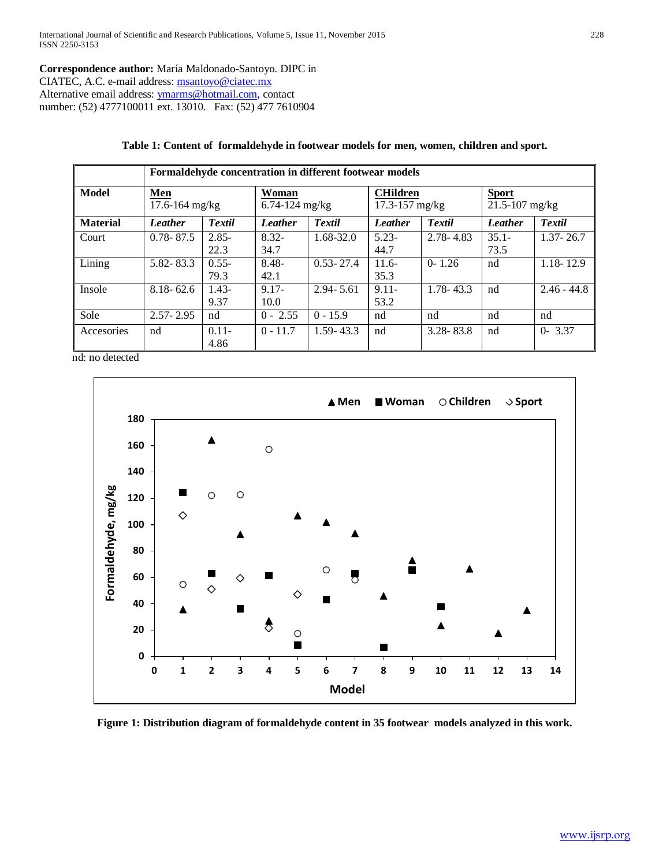**Correspondence author:** María Maldonado-Santoyo. DIPC in CIATEC, A.C. e-mail address: [msantoyo@ciatec.mx](mailto:msantoyo@ciatec.mx)  Alternative email address[: ymarms@hotmail.com,](mailto:ymarms@hotmail.com) contact number: (52) 4777100011 ext. 13010. Fax: (52) 477 7610904

|                 | Formaldehyde concentration in different footwear models |               |                             |               |                                       |               |                                    |               |
|-----------------|---------------------------------------------------------|---------------|-----------------------------|---------------|---------------------------------------|---------------|------------------------------------|---------------|
| Model           | <b>Men</b><br>17.6-164 mg/kg                            |               | Woman<br>$6.74 - 124$ mg/kg |               | <b>CHildren</b><br>$17.3 - 157$ mg/kg |               | <b>Sport</b><br>$21.5 - 107$ mg/kg |               |
| <b>Material</b> | <b>Leather</b>                                          | <b>Textil</b> | Leather                     | Textil        | Leather                               | <b>Textil</b> | Leather                            | <b>Textil</b> |
| Court           | $0.78 - 87.5$                                           | $2.85 -$      | $8.32 -$                    | $1.68 - 32.0$ | $5.23 -$                              | $2.78 - 4.83$ | $35.1 -$                           | $1.37 - 26.7$ |
|                 |                                                         | 22.3          | 34.7                        |               | 44.7                                  |               | 73.5                               |               |
| Lining          | 5.82 - 83.3                                             | $0.55 -$      | $8.48 -$                    | $0.53 - 27.4$ | $11.6-$                               | $0 - 1.26$    | nd                                 | $1.18 - 12.9$ |
|                 |                                                         | 79.3          | 42.1                        |               | 35.3                                  |               |                                    |               |
| Insole          | $8.18 - 62.6$                                           | $1.43-$       | $9.17 -$                    | $2.94 - 5.61$ | $9.11 -$                              | 1.78-43.3     | nd                                 | $2.46 - 44.8$ |
|                 |                                                         | 9.37          | 10.0                        |               | 53.2                                  |               |                                    |               |
| Sole            | $2.57 - 2.95$                                           | nd            | $0 - 2.55$                  | $0 - 15.9$    | nd                                    | nd            | nd                                 | nd            |
| Accesories      | nd                                                      | $0.11 -$      | $0 - 11.7$                  | $1.59 - 43.3$ | nd                                    | $3.28 - 83.8$ | nd                                 | $0 - 3.37$    |
|                 |                                                         | 4.86          |                             |               |                                       |               |                                    |               |

#### **Table 1: Content of formaldehyde in footwear models for men, women, children and sport.**

nd: no detected



**Figure 1: Distribution diagram of formaldehyde content in 35 footwear models analyzed in this work.**